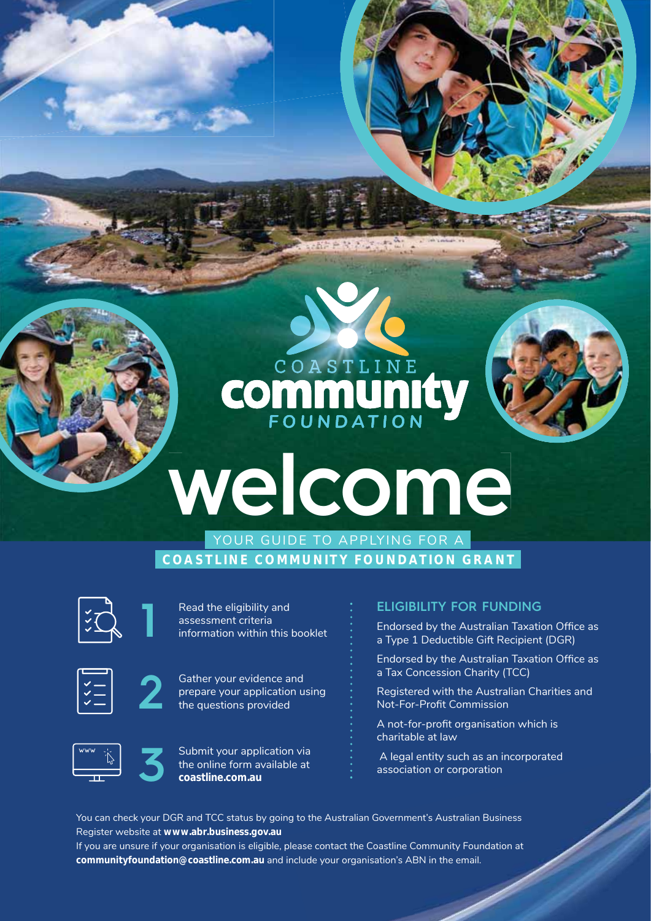# COASTLINE **COMMUNITY**

## **welcome** YOUR GUIDE TO APPLYING FOR A

**COASTLINE COMMUNITY FOUNDATION GRANT**



**1**

**2**

Read the eligibility and assessment criteria information within this booklet



Gather your evidence and prepare your application using the questions provided





#### **ELIGIBILITY FOR FUNDING**

Endorsed by the Australian Taxation Office as a Type 1 Deductible Gift Recipient (DGR)

Endorsed by the Australian Taxation Office as a Tax Concession Charity (TCC)

Registered with the Australian Charities and Not-For-Profit Commission

A not-for-profit organisation which is charitable at law

 A legal entity such as an incorporated association or corporation

You can check your DGR and TCC status by going to the Australian Government's Australian Business Register website at **www.abr.business.gov.au**

If you are unsure if your organisation is eligible, please contact the Coastline Community Foundation at **communityfoundation@coastline.com.au** and include your organisation's ABN in the email.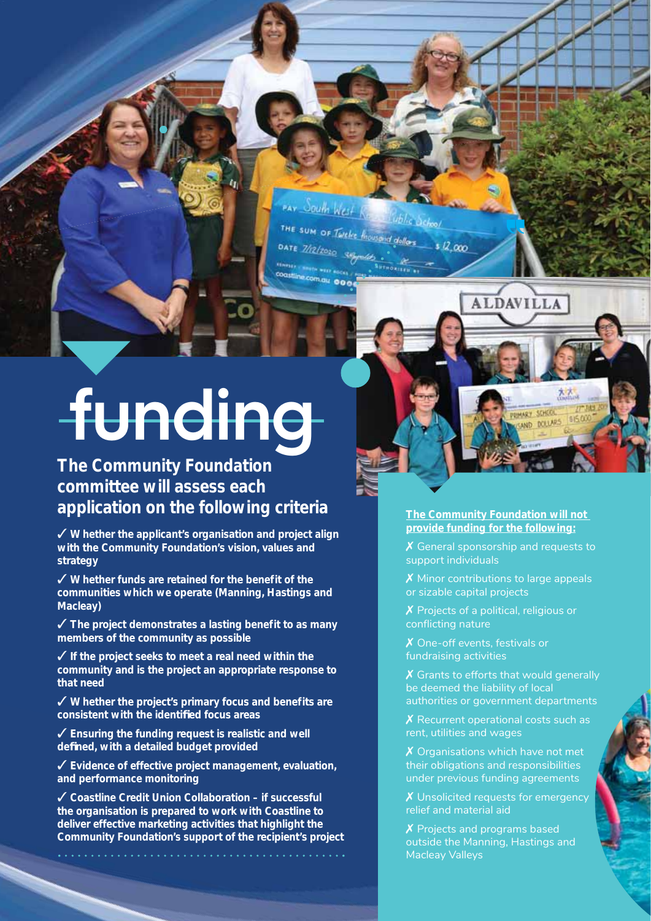PAY South West **Cublic Oshoo**l THE SUM OF Twelve lineword dollars  $\frac{1}{2}$ ,000 DATE 7/12/2020 Coastline.com.gu 000

# **funding**

*The Community Foundation committee will assess each application on the following criteria* The Community Foundation will not

✓ **Whether the applicant's organisation and project align with the Community Foundation's vision, values and strategy**

✓ **Whether funds are retained for the benefit of the communities which we operate (Manning, Hastings and Macleay)**

✓ **The project demonstrates a lasting benefit to as many members of the community as possible**

✓ **If the project seeks to meet a real need within the community and is the project an appropriate response to that need**

✓ **Whether the project's primary focus and benefits are consistent with the identifi ed focus areas**

✓ **Ensuring the funding request is realistic and well defi ned, with a detailed budget provided**

✓ **Evidence of effective project management, evaluation, and performance monitoring**

✓ **Coastline Credit Union Collaboration – if successful the organisation is prepared to work with Coastline to deliver effective marketing activities that highlight the Community Foundation's support of the recipient's project**

#### **provide funding for the following:**

**ALDAVILLA** 

**UMARY SCHOOL** WART SCHOOL

X General sponsorship and requests to support individuals

X Minor contributions to large appeals or sizable capital projects

X Projects of a political, religious or conflicting nature

✗ One-off events, festivals or fundraising activities

X Grants to efforts that would generally be deemed the liability of local authorities or government departments

X Recurrent operational costs such as rent, utilities and wages

X Organisations which have not met their obligations and responsibilities under previous funding agreements

X Unsolicited requests for emergency relief and material aid

X Projects and programs based outside the Manning, Hastings and Macleay Valleys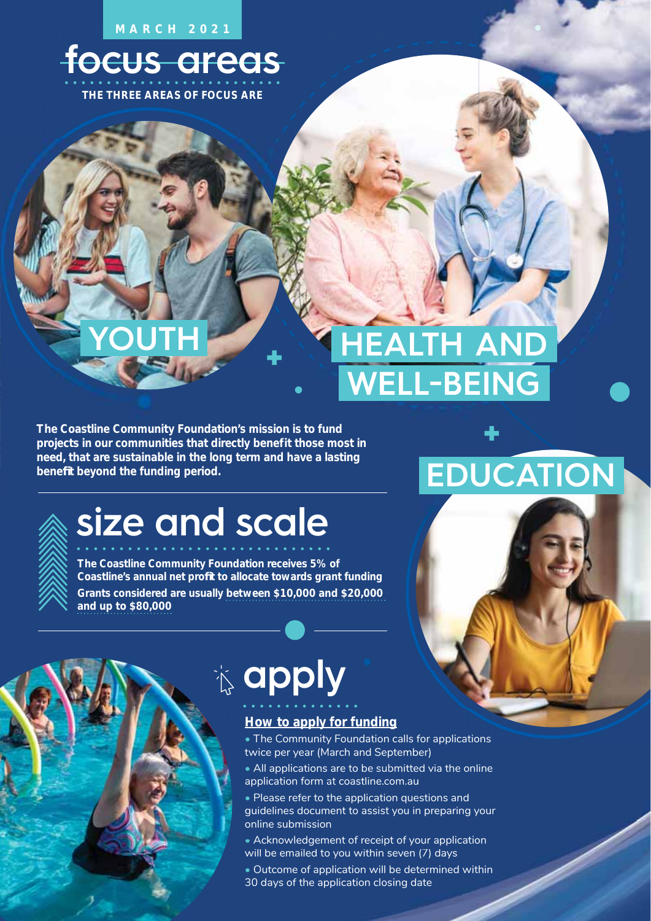**MARCH 2021**

### **focus areas**

**THE THREE AREAS OF FOCUS ARE**

**YOUTH**

### **HEALTH AND WELL-BEING**

**The Coastline Community Foundation's mission is to fund projects in our communities that directly benefit those most in need, that are sustainable in the long term and have a lasting benefi t beyond the funding period.** 



### **size and scale**

**The Coastline Community Foundation receives 5% of**  Coastline's annual net profit to allocate towards grant funding **Grants considered are usually between \$10,000 and \$20,000 and up to \$80,000**

# **EDUCATION**

### **apply**

#### **How to apply for funding**

- The Community Foundation calls for applications twice per year (March and September)
- All applications are to be submitted via the online application form at coastline.com.au r (March and September)<br>ons are to be submitted \<br>rm at coastline.com.au
- Please refer to the application questions and  $\bullet$  Please refer to the application questions and<br>guidelines document to assist you in preparing your online submission
- Acknowledgement of receipt of your application will be emailed to you within seven (7) days
- Outcome of application will be determined within 30 days of the application closing date